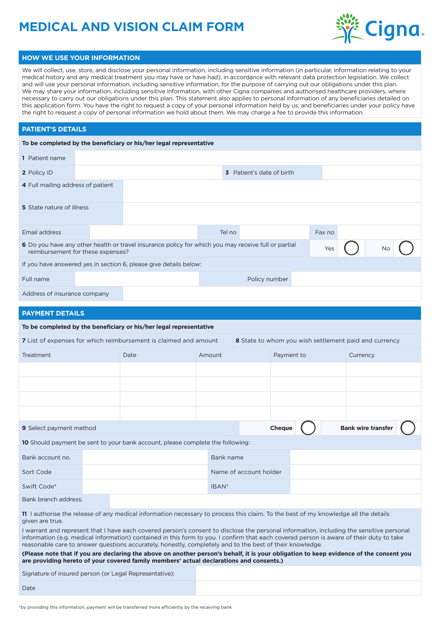# **MEDICAL AND VISION CLAIM FORM**



#### **HOW WE USE YOUR INFORMATION**

We will collect, use, store, and disclose your personal information, including sensitive information (in particular, information relating to your medical history and any medical treatment you may have or have had), in accordance with relevant data protection legislation. We collect and will use your personal information, including sensitive information, for the purpose of carrying out our obligations under this plan. We may share your information, including sensitive information, with other Cigna companies and authorised healthcare providers, where necessary to carry out our obligations under this plan. This statement also applies to personal information of any beneficiaries detailed on this application form. You have the right to request a copy of your personal information held by us, and beneficiaries under your policy have the right to request a copy of personal information we hold about them. We may charge a fee to provide this information.

#### **PATIENT'S DETAILS**

| To be completed by the beneficiary or his/her legal representative                                                                       |  |  |        |                                  |  |        |           |  |
|------------------------------------------------------------------------------------------------------------------------------------------|--|--|--------|----------------------------------|--|--------|-----------|--|
| 1 Patient name                                                                                                                           |  |  |        |                                  |  |        |           |  |
| 2 Policy ID                                                                                                                              |  |  |        | <b>3</b> Patient's date of birth |  |        |           |  |
| 4 Full mailing address of patient                                                                                                        |  |  |        |                                  |  |        |           |  |
| 5 State nature of illness                                                                                                                |  |  |        |                                  |  |        |           |  |
| Email address                                                                                                                            |  |  | Tel no |                                  |  | Fax no |           |  |
| 6 Do you have any other health or travel insurance policy for which you may receive full or partial<br>reimbursement for these expenses? |  |  |        |                                  |  | Yes    | <b>No</b> |  |
| If you have answered yes in section 6, please give details below:                                                                        |  |  |        |                                  |  |        |           |  |
| Full name                                                                                                                                |  |  |        | Policy number                    |  |        |           |  |
| Address of insurance company                                                                                                             |  |  |        |                                  |  |        |           |  |

### **PAYMENT DETAILS**

| To be completed by the beneficiary or his/her legal representative                                                        |  |      |           |                        |               |  |                           |  |
|---------------------------------------------------------------------------------------------------------------------------|--|------|-----------|------------------------|---------------|--|---------------------------|--|
| 7 List of expenses for which reimbursement is claimed and amount<br>8 State to whom you wish settlement paid and currency |  |      |           |                        |               |  |                           |  |
| Treatment                                                                                                                 |  | Date | Amount    |                        | Payment to    |  | Currency                  |  |
|                                                                                                                           |  |      |           |                        |               |  |                           |  |
|                                                                                                                           |  |      |           |                        |               |  |                           |  |
|                                                                                                                           |  |      |           |                        |               |  |                           |  |
|                                                                                                                           |  |      |           |                        |               |  |                           |  |
| <b>9</b> Select payment method                                                                                            |  |      |           |                        | <b>Cheque</b> |  | <b>Bank wire transfer</b> |  |
| 10 Should payment be sent to your bank account, please complete the following:                                            |  |      |           |                        |               |  |                           |  |
| Bank account no.                                                                                                          |  |      | Bank name |                        |               |  |                           |  |
| Sort Code                                                                                                                 |  |      |           | Name of account holder |               |  |                           |  |
| Swift Code*                                                                                                               |  |      | IBAN*     |                        |               |  |                           |  |
| Bank branch address:                                                                                                      |  |      |           |                        |               |  |                           |  |

**11** I authorise the release of any medical information necessary to process this claim. To the best of my knowledge all the details given are true.

I warrant and represent that I have each covered person's consent to disclose the personal information, including the sensitive personal information (e.g. medical information) contained in this form to you. I confirm that each covered person is aware of their duty to take reasonable care to answer questions accurately, honestly, completely and to the best of their knowledge.

**(Please note that if you are declaring the above on another person's behalf, it is your obligation to keep evidence of the consent you are providing hereto of your covered family members' actual declarations and consents.)**

Signature of insured person (or Legal Representative):

Date